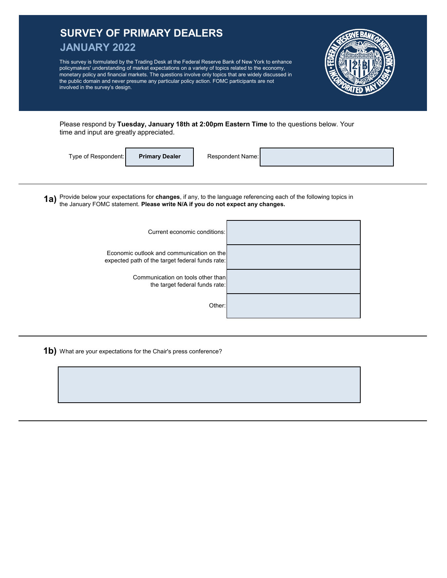## **SURVEY OF PRIMARY DEALERS JANUARY 2022 1a)** Provide below your expectations for **changes**, if any, to the language referencing each of the following topics in Economic outlook and communication on the expected path of the target federal funds rate: This survey is formulated by the Trading Desk at the Federal Reserve Bank of New York to enhance policymakers' understanding of market expectations on a variety of topics related to the economy, monetary policy and financial markets. The questions involve only topics that are widely discussed in the public domain and never presume any particular policy action. FOMC participants are not involved in the survey's design. Type of Respondent: Current economic conditions: Please respond by **Tuesday, January 18th at 2:00pm Eastern Time** to the questions below. Your time and input are greatly appreciated. **Primary Dealer** the January FOMC statement. **Please write N/A if you do not expect any changes.** Respondent Name: Communication on tools other than the target federal funds rate: Other:

**1b)** What are your expectations for the Chair's press conference?

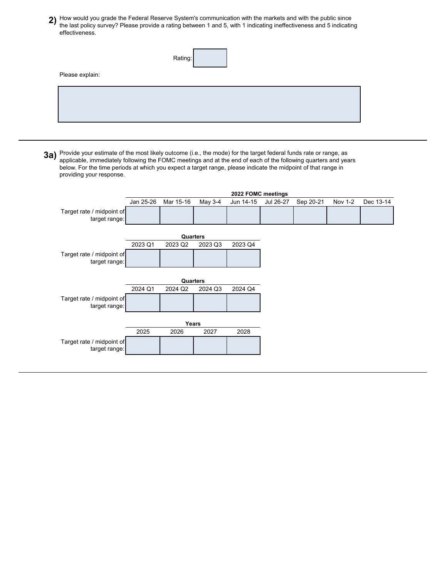2) How would you grade the Federal Reserve System's communication with the markets and with the public since **2**<br>The last policy survey? Plasse provide a rating between 1 and 5, with 1 indicating ineffectiveness and 5 indi the last policy survey? Please provide a rating between 1 and 5, with 1 indicating ineffectiveness and 5 indicating effectiveness.

|                 | Rating: |
|-----------------|---------|
| Please explain: |         |
|                 |         |
|                 |         |
|                 |         |

**3a)** Provide your estimate of the most likely outcome (i.e., the mode) for the target federal funds rate or range, as<br>**3a)** applicable, immediately following the EOMC meetings and at the end of each of the following quart applicable, immediately following the FOMC meetings and at the end of each of the following quarters and years below. For the time periods at which you expect a target range, please indicate the midpoint of that range in providing your response.

|                                            |           |           |         | 2022 FOMC meetings |           |           |         |           |
|--------------------------------------------|-----------|-----------|---------|--------------------|-----------|-----------|---------|-----------|
|                                            | Jan 25-26 | Mar 15-16 | May 3-4 | Jun 14-15          | Jul 26-27 | Sep 20-21 | Nov 1-2 | Dec 13-14 |
| Target rate / midpoint of<br>target range: |           |           |         |                    |           |           |         |           |
|                                            |           | Quarters  |         |                    |           |           |         |           |
|                                            | 2023 Q1   | 2023 Q2   | 2023 Q3 | 2023 Q4            |           |           |         |           |
| Target rate / midpoint of<br>target range: |           |           |         |                    |           |           |         |           |
|                                            | 2024 Q1   | Quarters  |         | 2024 Q4            |           |           |         |           |
|                                            |           | 2024 Q2   | 2024 Q3 |                    |           |           |         |           |
| Target rate / midpoint of<br>target range: |           |           |         |                    |           |           |         |           |
|                                            |           | Years     |         |                    |           |           |         |           |
|                                            | 2025      | 2026      | 2027    | 2028               |           |           |         |           |
| Target rate / midpoint of<br>target range: |           |           |         |                    |           |           |         |           |
|                                            |           |           |         |                    |           |           |         |           |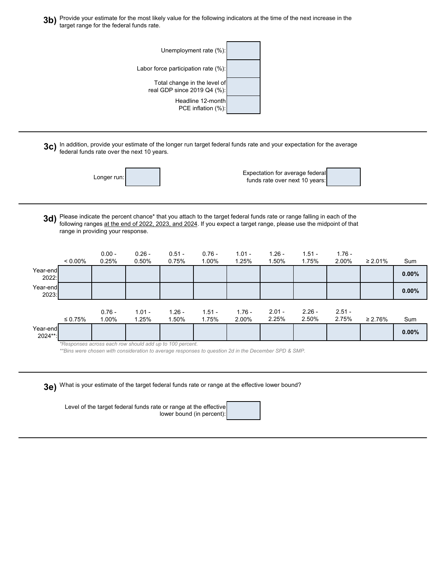**3b)** Provide your estimate for the most likely value for the following indicators at the time of the next increase in the <br>**3b)** target range for the foderal funds rate target range for the federal funds rate.



**3c)** In addition, provide your estimate of the longer run target federal funds rate and your expectation for the average<br> **3c)** foderal funds rate over the next 10 years federal funds rate over the next 10 years.



Expectation for average federa funds rate over next 10 years:

**3d)** Please indicate the percent chance\* that you attach to the target federal funds rate or range falling in each of the<br>**3d)** following ranges at the end of 2022, 2023, and 2024. If you expect a target range, please use following ranges at the end of 2022, 2023, and 2024. If you expect a target range, please use the midpoint of that range in providing your response.

|                     | $< 0.00\%$    | $0.00 -$<br>0.25% | $0.26 -$<br>0.50%                                        | $0.51 -$<br>0.75% | $0.76 -$<br>1.00% | $1.01 -$<br>1.25% | $1.26 -$<br>1.50% | $1.51 -$<br>1.75% | $1.76 -$<br>2.00% | $\geq 2.01\%$ | Sum      |
|---------------------|---------------|-------------------|----------------------------------------------------------|-------------------|-------------------|-------------------|-------------------|-------------------|-------------------|---------------|----------|
| Year-end<br>2022:   |               |                   |                                                          |                   |                   |                   |                   |                   |                   |               | 0.00%    |
| Year-end<br>2023:   |               |                   |                                                          |                   |                   |                   |                   |                   |                   |               | $0.00\%$ |
|                     | $\leq 0.75\%$ | $0.76 -$<br>1.00% | $1.01 -$<br>1.25%                                        | $1.26 -$<br>1.50% | $1.51 -$<br>1.75% | $1.76 -$<br>2.00% | $2.01 -$<br>2.25% | $2.26 -$<br>2.50% | $2.51 -$<br>2.75% | $\geq 2.76\%$ | Sum      |
| Year-end<br>2024**: |               |                   |                                                          |                   |                   |                   |                   |                   |                   |               | $0.00\%$ |
|                     |               |                   | *Responses across each row should add up to 100 percent. |                   |                   |                   |                   |                   |                   |               |          |

*\*\*Bins were chosen with consideration to average responses to question 2d in the December SPD & SMP.*

**3e)** What is your estimate of the target federal funds rate or range at the effective lower bound?

Level of the target federal funds rate or range at the effective lower bound (in percent):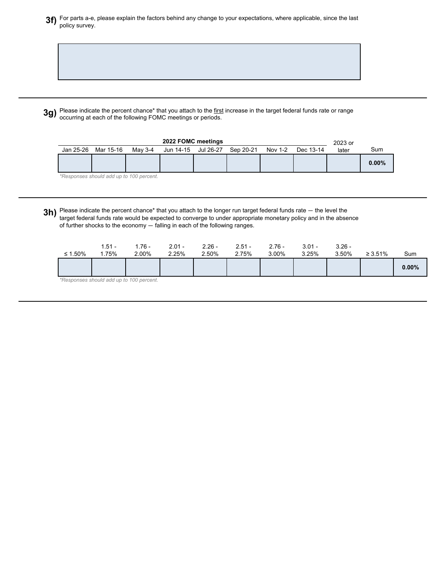**3f)** For parts a-e, please explain the factors behind any change to your expectations, where applicable, since the last policy survey.

**3g)** Please indicate the percent chance\* that you attach to the first increase in the target federal funds rate or range<br> **3g)** escurring at each of the following FOMC meetings or periods occurring at each of the following FOMC meetings or periods.

|           | 2022 FOMC meetings                       |         |           |           |           |         |           |       |          |  |
|-----------|------------------------------------------|---------|-----------|-----------|-----------|---------|-----------|-------|----------|--|
| Jan 25-26 | Mar 15-16                                | Mav 3-4 | Jun 14-15 | Jul 26-27 | Sep 20-21 | Nov 1-2 | Dec 13-14 | later | Sum      |  |
|           |                                          |         |           |           |           |         |           |       | $0.00\%$ |  |
|           | *Responses should add up to 100 percent. |         |           |           |           |         |           |       |          |  |

**3h)** Please indicate the percent chance\* that you attach to the longer run target federal funds rate — the level the<br>**3h)** terget federal funds rate would be expected to converge to under eperceriste menetary policy and i target federal funds rate would be expected to converge to under appropriate monetary policy and in the absence of further shocks to the economy — falling in each of the following ranges.

| ≤ 1.50% | $1.51 -$<br>$.75\%$ | 1.76 -<br>2.00%                          | $2.01 -$<br>2.25% | $2.26 -$<br>2.50% | $2.51 -$<br>2.75% | $2.76 -$<br>3.00% | $3.01 -$<br>3.25% | $3.26 -$<br>3.50% | $\geq 3.51\%$ | Sum      |
|---------|---------------------|------------------------------------------|-------------------|-------------------|-------------------|-------------------|-------------------|-------------------|---------------|----------|
|         |                     |                                          |                   |                   |                   |                   |                   |                   |               | $0.00\%$ |
|         |                     | *Responses should add up to 100 percent. |                   |                   |                   |                   |                   |                   |               |          |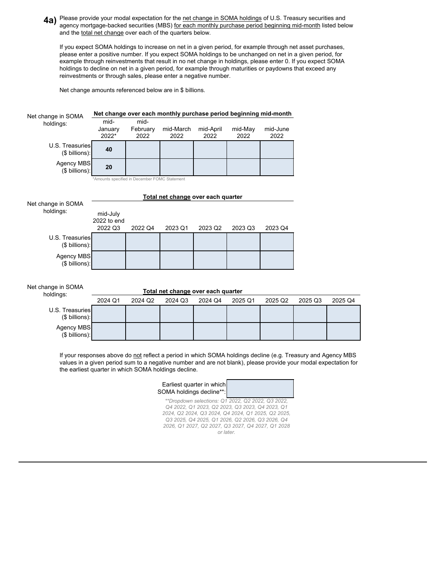**4a)** Please provide your modal expectation for the <u>net change in SOMA holdings</u> of U.S. Treasury securities and<br> **28** agancy mortgage backed securities (MBS) for each monthly purchase period beginning mid month listed be agency mortgage-backed securities (MBS) for each monthly purchase period beginning mid-month listed below and the total net change over each of the quarters below.

If you expect SOMA holdings to increase on net in a given period, for example through net asset purchases, please enter a positive number. If you expect SOMA holdings to be unchanged on net in a given period, for example through reinvestments that result in no net change in holdings, please enter 0. If you expect SOMA holdings to decline on net in a given period, for example through maturities or paydowns that exceed any reinvestments or through sales, please enter a negative number.

Net change amounts referenced below are in \$ billions.

| Net change in SOMA                                                                                                                                                                                                                                                                                                                                                                                                                                       |                                               |                  | Net change over each monthly purchase period beginning mid-month |                   |                                              |                  |         |         |  |  |  |
|----------------------------------------------------------------------------------------------------------------------------------------------------------------------------------------------------------------------------------------------------------------------------------------------------------------------------------------------------------------------------------------------------------------------------------------------------------|-----------------------------------------------|------------------|------------------------------------------------------------------|-------------------|----------------------------------------------|------------------|---------|---------|--|--|--|
| holdings:                                                                                                                                                                                                                                                                                                                                                                                                                                                | mid-                                          | mid-             |                                                                  |                   |                                              |                  |         |         |  |  |  |
|                                                                                                                                                                                                                                                                                                                                                                                                                                                          | January<br>2022*                              | February<br>2022 | mid-March<br>2022                                                | mid-April<br>2022 | mid-May<br>2022                              | mid-June<br>2022 |         |         |  |  |  |
| U.S. Treasuries<br>(\$ billions):                                                                                                                                                                                                                                                                                                                                                                                                                        | 40                                            |                  |                                                                  |                   |                                              |                  |         |         |  |  |  |
| <b>Agency MBS</b><br>(\$ billions):                                                                                                                                                                                                                                                                                                                                                                                                                      | 20                                            |                  |                                                                  |                   |                                              |                  |         |         |  |  |  |
|                                                                                                                                                                                                                                                                                                                                                                                                                                                          | *Amounts specified in December FOMC Statement |                  |                                                                  |                   |                                              |                  |         |         |  |  |  |
| Total net change over each quarter                                                                                                                                                                                                                                                                                                                                                                                                                       |                                               |                  |                                                                  |                   |                                              |                  |         |         |  |  |  |
| Net change in SOMA<br>holdings:                                                                                                                                                                                                                                                                                                                                                                                                                          | mid-July<br>2022 to end<br>2022 Q3            | 2022 Q4          | 2023 Q1                                                          | 2023 Q2           | 2023 Q3                                      | 2023 Q4          |         |         |  |  |  |
| U.S. Treasuries<br>(\$ billions):                                                                                                                                                                                                                                                                                                                                                                                                                        |                                               |                  |                                                                  |                   |                                              |                  |         |         |  |  |  |
| Agency MBS<br>(\$ billions):                                                                                                                                                                                                                                                                                                                                                                                                                             |                                               |                  |                                                                  |                   |                                              |                  |         |         |  |  |  |
| Net change in SOMA                                                                                                                                                                                                                                                                                                                                                                                                                                       |                                               |                  | Total net change over each quarter                               |                   |                                              |                  |         |         |  |  |  |
| holdings:                                                                                                                                                                                                                                                                                                                                                                                                                                                | 2024 Q1                                       | 2024 Q2          | 2024 Q3                                                          | 2024 Q4           | 2025 Q1                                      | 2025 Q2          | 2025 Q3 | 2025 Q4 |  |  |  |
| U.S. Treasuries<br>(\$ billions):                                                                                                                                                                                                                                                                                                                                                                                                                        |                                               |                  |                                                                  |                   |                                              |                  |         |         |  |  |  |
| Agency MBS<br>(\$ billions):                                                                                                                                                                                                                                                                                                                                                                                                                             |                                               |                  |                                                                  |                   |                                              |                  |         |         |  |  |  |
| If your responses above do not reflect a period in which SOMA holdings decline (e.g. Treasury and Agency MBS<br>values in a given period sum to a negative number and are not blank), please provide your modal expectation for<br>the earliest quarter in which SOMA holdings decline.<br>Earliest quarter in which<br>SOMA holdings decline**:<br>**Dropdown selections: Q1 2022, Q2 2022, Q3 2022,<br>Q4 2022, Q1 2023, Q2 2023, Q3 2023, Q4 2023, Q1 |                                               |                  |                                                                  |                   |                                              |                  |         |         |  |  |  |
|                                                                                                                                                                                                                                                                                                                                                                                                                                                          |                                               |                  |                                                                  |                   | 2024 02 2024 03 2024 04 2024 01 2025 02 2025 |                  |         |         |  |  |  |

*2024, Q2 2024, Q3 2024, Q4 2024, Q1 2025, Q2 2025, Q3 2025, Q4 2025, Q1 2026, Q2 2026, Q3 2026, Q4 2026, Q1 2027, Q2 2027, Q3 2027, Q4 2027, Q1 2028 or later.*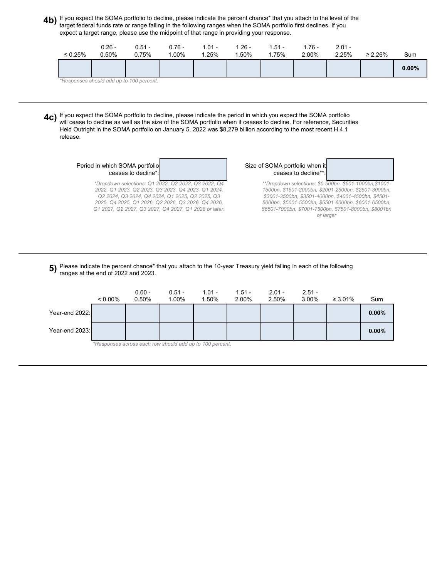**4b)** If you expect the SOMA portfolio to decline, please indicate the percent chance\* that you attach to the level of the controller the SOMA portfolio first declines. If you target federal funds rate or range falling in the following ranges when the SOMA portfolio first declines. If you expect a target range, please use the midpoint of that range in providing your response.

| $\leq 0.25\%$ | 0.26 -<br>0.50% | $0.51 -$<br>0.75%                        | $0.76 -$<br>$.00\%$ | $1.01 -$<br>1.25% | $1.26 -$<br>.50% | . 51 -<br>1.75% | $1.76 -$<br>2.00% | $2.01 -$<br>2.25% | $\geq 2.26\%$ | Sum      |
|---------------|-----------------|------------------------------------------|---------------------|-------------------|------------------|-----------------|-------------------|-------------------|---------------|----------|
|               |                 |                                          |                     |                   |                  |                 |                   |                   |               | $0.00\%$ |
|               |                 | *Responses should add up to 100 percent. |                     |                   |                  |                 |                   |                   |               |          |

**4C)** If you expect the SOMA portfolio to decline, please indicate the period in which you expect the SOMA portfolio<br>Will coase to decline as well as the size of the SOMA portfolio when it coases to decline. For reference, will cease to decline as well as the size of the SOMA portfolio when it ceases to decline. For reference, Securities Held Outright in the SOMA portfolio on January 5, 2022 was \$8,279 billion according to the most recent H.4.1 release.

| Period in which SOMA portfolio |  |
|--------------------------------|--|
| ceases to decline*:            |  |

*\*Dropdown selections: Q1 2022, Q2 2022, Q3 2022, Q4 2022, Q1 2023, Q2 2023, Q3 2023, Q4 2023, Q1 2024, Q2 2024, Q3 2024, Q4 2024, Q1 2025, Q2 2025, Q3 2025, Q4 2025, Q1 2026, Q2 2026, Q3 2026, Q4 2026, Q1 2027, Q2 2027, Q3 2027, Q4 2027, Q1 2028 or later.* Size of SOMA portfolio when it ceases to decline\*\*

> *\*\*Dropdown selections: \$0-500bn, \$501-1000bn,\$1001- 1500bn, \$1501-2000bn, \$2001-2500bn, \$2501-3000bn, \$3001-3500bn, \$3501-4000bn, \$4001-4500bn, \$4501- 5000bn, \$5001-5500bn, \$5501-6000bn, \$6001-6500bn, \$6501-7000bn, \$7001-7500bn, \$7501-8000bn, \$8001bn or larger*

## **5)** Please indicate the percent chance\* that you attach to the 10-year Treasury yield falling in each of the following <br>Following at the end of 2022 and 2023 ranges at the end of 2022 and 2023.

|                | $< 0.00\%$                                               | $0.00 -$<br>0.50% | $0.51 -$<br>1.00% | $1.01 -$<br>1.50% | $1.51 -$<br>2.00% | $2.01 -$<br>2.50% | $2.51 -$<br>3.00% | $\geq 3.01\%$ | Sum      |  |  |
|----------------|----------------------------------------------------------|-------------------|-------------------|-------------------|-------------------|-------------------|-------------------|---------------|----------|--|--|
| Year-end 2022: |                                                          |                   |                   |                   |                   |                   |                   |               | $0.00\%$ |  |  |
| Year-end 2023: |                                                          |                   |                   |                   |                   |                   |                   |               | $0.00\%$ |  |  |
|                | *Responses across each row should add up to 100 percent. |                   |                   |                   |                   |                   |                   |               |          |  |  |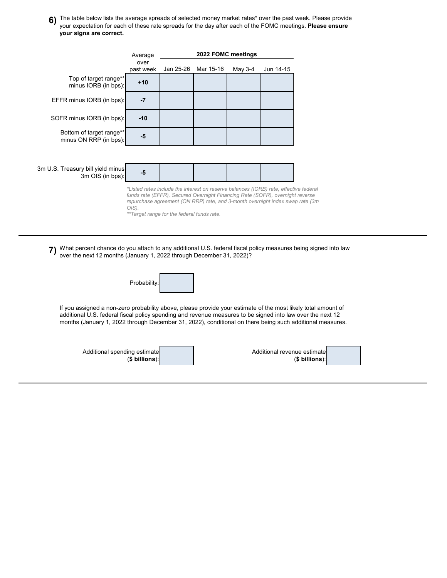**6)** The table below lists the average spreads of selected money market rates\* over the past week. Please provide **6**<br>We'll expectation for each of these rate spreads for the day after each of the FOMC meetings. **Please on** your expectation for each of these rate spreads for the day after each of the FOMC meetings. **Please ensure your signs are correct.**

|                                                       | Average                                                                                                                                                                                                                                                                                                           | 2022 FOMC meetings |           |         |           |  |  |  |
|-------------------------------------------------------|-------------------------------------------------------------------------------------------------------------------------------------------------------------------------------------------------------------------------------------------------------------------------------------------------------------------|--------------------|-----------|---------|-----------|--|--|--|
|                                                       | over<br>past week                                                                                                                                                                                                                                                                                                 | Jan 25-26          | Mar 15-16 | May 3-4 | Jun 14-15 |  |  |  |
| Top of target range**<br>minus IORB (in bps):         | $+10$                                                                                                                                                                                                                                                                                                             |                    |           |         |           |  |  |  |
| EFFR minus IORB (in bps):                             | $-7$                                                                                                                                                                                                                                                                                                              |                    |           |         |           |  |  |  |
| SOFR minus IORB (in bps):                             | $-10$                                                                                                                                                                                                                                                                                                             |                    |           |         |           |  |  |  |
| Bottom of target range**<br>minus ON RRP (in bps):    | $-5$                                                                                                                                                                                                                                                                                                              |                    |           |         |           |  |  |  |
|                                                       |                                                                                                                                                                                                                                                                                                                   |                    |           |         |           |  |  |  |
| 3m U.S. Treasury bill yield minus<br>3m OIS (in bps): | $-5$                                                                                                                                                                                                                                                                                                              |                    |           |         |           |  |  |  |
|                                                       | *Listed rates include the interest on reserve balances (IORB) rate, effective federal<br>funds rate (EFFR), Secured Overnight Financing Rate (SOFR), overnight reverse<br>repurchase agreement (ON RRP) rate, and 3-month overnight index swap rate (3m<br>$O(S)$ .<br>**Target range for the federal funds rate. |                    |           |         |           |  |  |  |

**7)** What percent chance do you attach to any additional U.S. federal fiscal policy measures being signed into law<br>
November post 12 months (January 1, 2022 through December 31, 2022)2 over the next 12 months (January 1, 2022 through December 31, 2022)?



If you assigned a non-zero probability above, please provide your estimate of the most likely total amount of additional U.S. federal fiscal policy spending and revenue measures to be signed into law over the next 12 months (January 1, 2022 through December 31, 2022), conditional on there being such additional measures.

| Additional spending estimate | Additional revenue estimate |  |
|------------------------------|-----------------------------|--|
| $$$ billions):               | $$$ billions):              |  |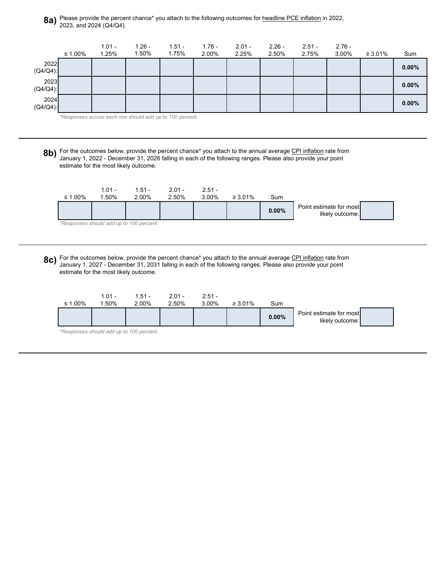**8a)** Please provide the percent chance\* you attach to the following outcomes for headline PCE inflation in 2022, <br>2023 and 2024 (O4/O4) 2023, and 2024 (Q4/Q4).



| ≤ 1.00% | $1.01 -$<br>.50%                         | $1.51 -$<br>2.00% | $2.01 -$<br>2.50% | $2.51 -$<br>3.00% | $\geq 3.01\%$ | Sum   |                                            |  |
|---------|------------------------------------------|-------------------|-------------------|-------------------|---------------|-------|--------------------------------------------|--|
|         |                                          |                   |                   |                   |               | 0.00% | Point estimate for most<br>likely outcome: |  |
|         | *Responses should add up to 100 percent. |                   |                   |                   |               |       |                                            |  |